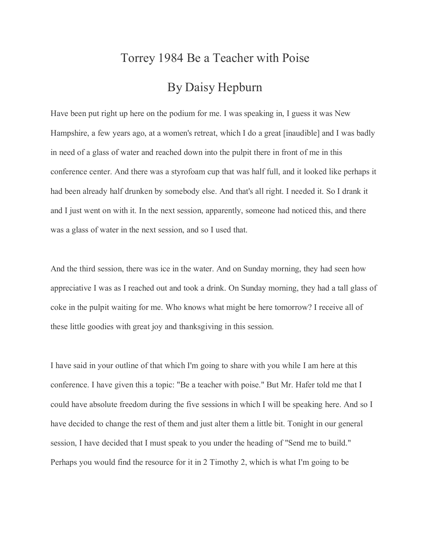## Torrey 1984 Be a Teacher with Poise By Daisy Hepburn

Have been put right up here on the podium for me. I was speaking in, I guess it was New Hampshire, a few years ago, at a women's retreat, which I do a great [inaudible] and I was badly in need of a glass of water and reached down into the pulpit there in front of me in this conference center. And there was a styrofoam cup that was half full, and it looked like perhaps it had been already half drunken by somebody else. And that's all right. I needed it. So I drank it and I just went on with it. In the next session, apparently, someone had noticed this, and there was a glass of water in the next session, and so I used that.

And the third session, there was ice in the water. And on Sunday morning, they had seen how appreciative I was as I reached out and took a drink. On Sunday morning, they had a tall glass of coke in the pulpit waiting for me. Who knows what might be here tomorrow? I receive all of these little goodies with great joy and thanksgiving in this session.

I have said in your outline of that which I'm going to share with you while I am here at this conference. I have given this a topic: "Be a teacher with poise." But Mr. Hafer told me that I could have absolute freedom during the five sessions in which I will be speaking here. And so I have decided to change the rest of them and just alter them a little bit. Tonight in our general session, I have decided that I must speak to you under the heading of "Send me to build." Perhaps you would find the resource for it in 2 Timothy 2, which is what I'm going to be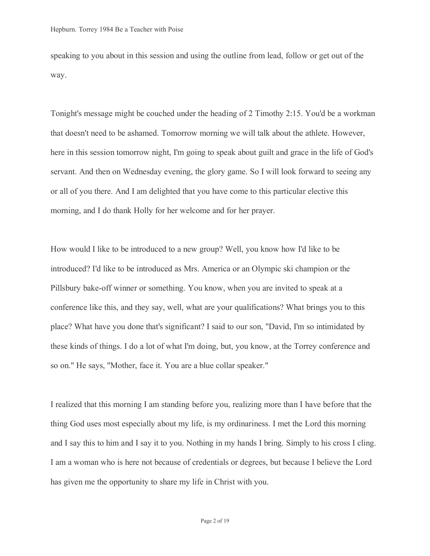speaking to you about in this session and using the outline from lead, follow or get out of the way.

Tonight's message might be couched under the heading of 2 Timothy 2:15. You'd be a workman that doesn't need to be ashamed. Tomorrow morning we will talk about the athlete. However, here in this session tomorrow night, I'm going to speak about guilt and grace in the life of God's servant. And then on Wednesday evening, the glory game. So I will look forward to seeing any or all of you there. And I am delighted that you have come to this particular elective this morning, and I do thank Holly for her welcome and for her prayer.

How would I like to be introduced to a new group? Well, you know how I'd like to be introduced? I'd like to be introduced as Mrs. America or an Olympic ski champion or the Pillsbury bake-off winner or something. You know, when you are invited to speak at a conference like this, and they say, well, what are your qualifications? What brings you to this place? What have you done that's significant? I said to our son, "David, I'm so intimidated by these kinds of things. I do a lot of what I'm doing, but, you know, at the Torrey conference and so on." He says, "Mother, face it. You are a blue collar speaker."

I realized that this morning I am standing before you, realizing more than I have before that the thing God uses most especially about my life, is my ordinariness. I met the Lord this morning and I say this to him and I say it to you. Nothing in my hands I bring. Simply to his cross I cling. I am a woman who is here not because of credentials or degrees, but because I believe the Lord has given me the opportunity to share my life in Christ with you.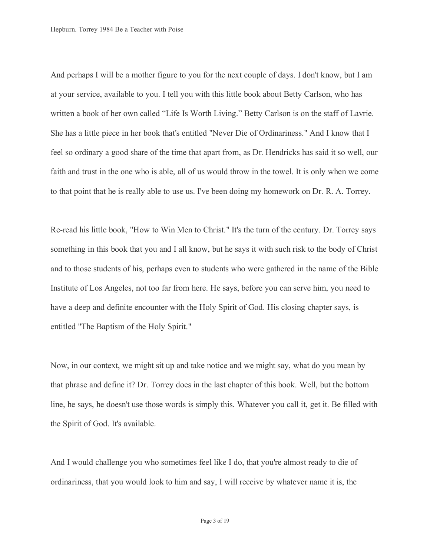And perhaps I will be a mother figure to you for the next couple of days. I don't know, but I am at your service, available to you. I tell you with this little book about Betty Carlson, who has written a book of her own called "Life Is Worth Living." Betty Carlson is on the staff of Lavrie. She has a little piece in her book that's entitled "Never Die of Ordinariness." And I know that I feel so ordinary a good share of the time that apart from, as Dr. Hendricks has said it so well, our faith and trust in the one who is able, all of us would throw in the towel. It is only when we come to that point that he is really able to use us. I've been doing my homework on Dr. R. A. Torrey.

Re-read his little book, "How to Win Men to Christ." It's the turn of the century. Dr. Torrey says something in this book that you and I all know, but he says it with such risk to the body of Christ and to those students of his, perhaps even to students who were gathered in the name of the Bible Institute of Los Angeles, not too far from here. He says, before you can serve him, you need to have a deep and definite encounter with the Holy Spirit of God. His closing chapter says, is entitled "The Baptism of the Holy Spirit."

Now, in our context, we might sit up and take notice and we might say, what do you mean by that phrase and define it? Dr. Torrey does in the last chapter of this book. Well, but the bottom line, he says, he doesn't use those words is simply this. Whatever you call it, get it. Be filled with the Spirit of God. It's available.

And I would challenge you who sometimes feel like I do, that you're almost ready to die of ordinariness, that you would look to him and say, I will receive by whatever name it is, the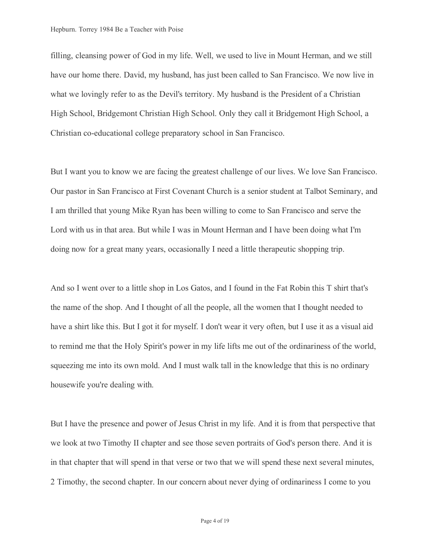filling, cleansing power of God in my life. Well, we used to live in Mount Herman, and we still have our home there. David, my husband, has just been called to San Francisco. We now live in what we lovingly refer to as the Devil's territory. My husband is the President of a Christian High School, Bridgemont Christian High School. Only they call it Bridgemont High School, a Christian co-educational college preparatory school in San Francisco.

But I want you to know we are facing the greatest challenge of our lives. We love San Francisco. Our pastor in San Francisco at First Covenant Church is a senior student at Talbot Seminary, and I am thrilled that young Mike Ryan has been willing to come to San Francisco and serve the Lord with us in that area. But while I was in Mount Herman and I have been doing what I'm doing now for a great many years, occasionally I need a little therapeutic shopping trip.

And so I went over to a little shop in Los Gatos, and I found in the Fat Robin this T shirt that's the name of the shop. And I thought of all the people, all the women that I thought needed to have a shirt like this. But I got it for myself. I don't wear it very often, but I use it as a visual aid to remind me that the Holy Spirit's power in my life lifts me out of the ordinariness of the world, squeezing me into its own mold. And I must walk tall in the knowledge that this is no ordinary housewife you're dealing with.

But I have the presence and power of Jesus Christ in my life. And it is from that perspective that we look at two Timothy II chapter and see those seven portraits of God's person there. And it is in that chapter that will spend in that verse or two that we will spend these next several minutes, 2 Timothy, the second chapter. In our concern about never dying of ordinariness I come to you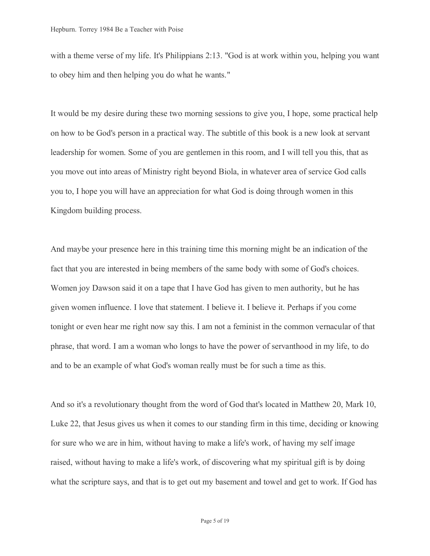with a theme verse of my life. It's Philippians 2:13. "God is at work within you, helping you want to obey him and then helping you do what he wants."

It would be my desire during these two morning sessions to give you, I hope, some practical help on how to be God's person in a practical way. The subtitle of this book is a new look at servant leadership for women. Some of you are gentlemen in this room, and I will tell you this, that as you move out into areas of Ministry right beyond Biola, in whatever area of service God calls you to, I hope you will have an appreciation for what God is doing through women in this Kingdom building process.

And maybe your presence here in this training time this morning might be an indication of the fact that you are interested in being members of the same body with some of God's choices. Women joy Dawson said it on a tape that I have God has given to men authority, but he has given women influence. I love that statement. I believe it. I believe it. Perhaps if you come tonight or even hear me right now say this. I am not a feminist in the common vernacular of that phrase, that word. I am a woman who longs to have the power of servanthood in my life, to do and to be an example of what God's woman really must be for such a time as this.

And so it's a revolutionary thought from the word of God that's located in Matthew 20, Mark 10, Luke 22, that Jesus gives us when it comes to our standing firm in this time, deciding or knowing for sure who we are in him, without having to make a life's work, of having my self image raised, without having to make a life's work, of discovering what my spiritual gift is by doing what the scripture says, and that is to get out my basement and towel and get to work. If God has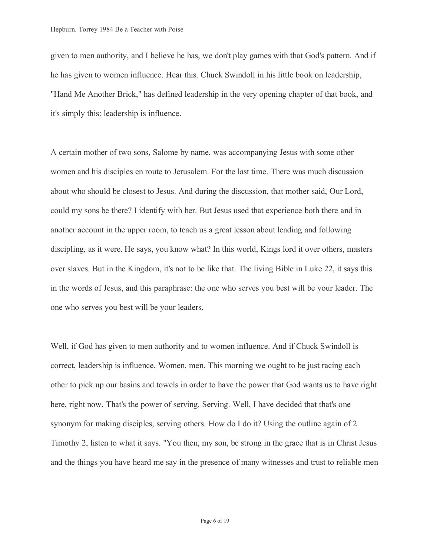given to men authority, and I believe he has, we don't play games with that God's pattern. And if he has given to women influence. Hear this. Chuck Swindoll in his little book on leadership, "Hand Me Another Brick," has defined leadership in the very opening chapter of that book, and it's simply this: leadership is influence.

A certain mother of two sons, Salome by name, was accompanying Jesus with some other women and his disciples en route to Jerusalem. For the last time. There was much discussion about who should be closest to Jesus. And during the discussion, that mother said, Our Lord, could my sons be there? I identify with her. But Jesus used that experience both there and in another account in the upper room, to teach us a great lesson about leading and following discipling, as it were. He says, you know what? In this world, Kings lord it over others, masters over slaves. But in the Kingdom, it's not to be like that. The living Bible in Luke 22, it says this in the words of Jesus, and this paraphrase: the one who serves you best will be your leader. The one who serves you best will be your leaders.

Well, if God has given to men authority and to women influence. And if Chuck Swindoll is correct, leadership is influence. Women, men. This morning we ought to be just racing each other to pick up our basins and towels in order to have the power that God wants us to have right here, right now. That's the power of serving. Serving. Well, I have decided that that's one synonym for making disciples, serving others. How do I do it? Using the outline again of 2 Timothy 2, listen to what it says. "You then, my son, be strong in the grace that is in Christ Jesus and the things you have heard me say in the presence of many witnesses and trust to reliable men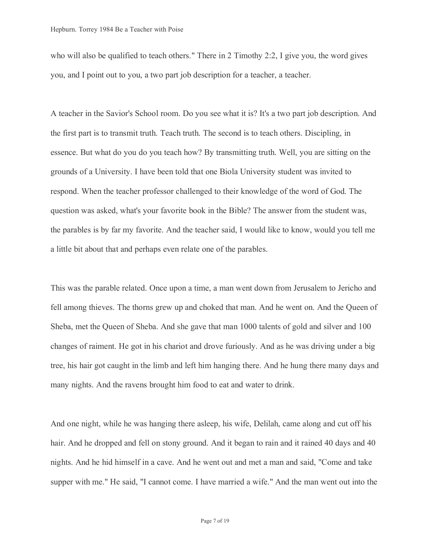who will also be qualified to teach others." There in 2 Timothy 2:2, I give you, the word gives you, and I point out to you, a two part job description for a teacher, a teacher.

A teacher in the Savior's School room. Do you see what it is? It's a two part job description. And the first part is to transmit truth. Teach truth. The second is to teach others. Discipling, in essence. But what do you do you teach how? By transmitting truth. Well, you are sitting on the grounds of a University. I have been told that one Biola University student was invited to respond. When the teacher professor challenged to their knowledge of the word of God. The question was asked, what's your favorite book in the Bible? The answer from the student was, the parables is by far my favorite. And the teacher said, I would like to know, would you tell me a little bit about that and perhaps even relate one of the parables.

This was the parable related. Once upon a time, a man went down from Jerusalem to Jericho and fell among thieves. The thorns grew up and choked that man. And he went on. And the Queen of Sheba, met the Queen of Sheba. And she gave that man 1000 talents of gold and silver and 100 changes of raiment. He got in his chariot and drove furiously. And as he was driving under a big tree, his hair got caught in the limb and left him hanging there. And he hung there many days and many nights. And the ravens brought him food to eat and water to drink.

And one night, while he was hanging there asleep, his wife, Delilah, came along and cut off his hair. And he dropped and fell on stony ground. And it began to rain and it rained 40 days and 40 nights. And he hid himself in a cave. And he went out and met a man and said, "Come and take supper with me." He said, "I cannot come. I have married a wife." And the man went out into the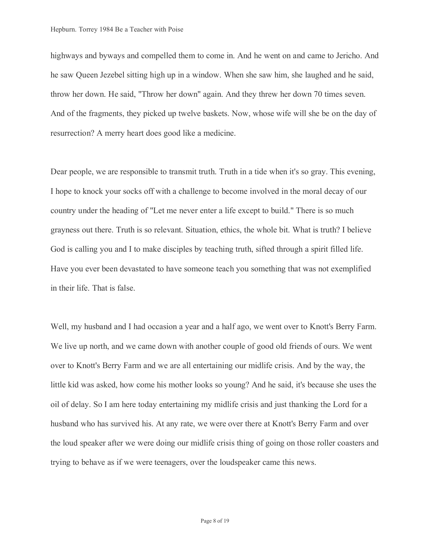highways and byways and compelled them to come in. And he went on and came to Jericho. And he saw Queen Jezebel sitting high up in a window. When she saw him, she laughed and he said, throw her down. He said, "Throw her down" again. And they threw her down 70 times seven. And of the fragments, they picked up twelve baskets. Now, whose wife will she be on the day of resurrection? A merry heart does good like a medicine.

Dear people, we are responsible to transmit truth. Truth in a tide when it's so gray. This evening, I hope to knock your socks off with a challenge to become involved in the moral decay of our country under the heading of "Let me never enter a life except to build." There is so much grayness out there. Truth is so relevant. Situation, ethics, the whole bit. What is truth? I believe God is calling you and I to make disciples by teaching truth, sifted through a spirit filled life. Have you ever been devastated to have someone teach you something that was not exemplified in their life. That is false.

Well, my husband and I had occasion a year and a half ago, we went over to Knott's Berry Farm. We live up north, and we came down with another couple of good old friends of ours. We went over to Knott's Berry Farm and we are all entertaining our midlife crisis. And by the way, the little kid was asked, how come his mother looks so young? And he said, it's because she uses the oil of delay. So I am here today entertaining my midlife crisis and just thanking the Lord for a husband who has survived his. At any rate, we were over there at Knott's Berry Farm and over the loud speaker after we were doing our midlife crisis thing of going on those roller coasters and trying to behave as if we were teenagers, over the loudspeaker came this news.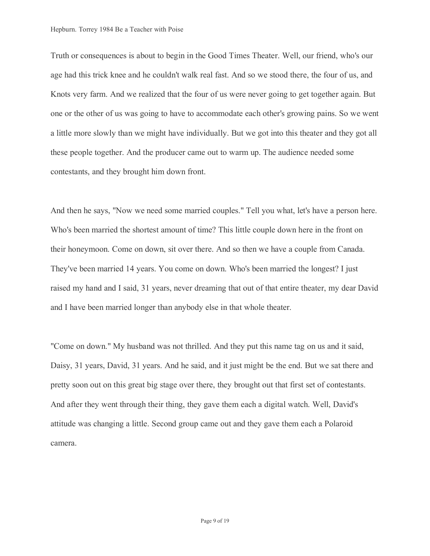Truth or consequences is about to begin in the Good Times Theater. Well, our friend, who's our age had this trick knee and he couldn't walk real fast. And so we stood there, the four of us, and Knots very farm. And we realized that the four of us were never going to get together again. But one or the other of us was going to have to accommodate each other's growing pains. So we went a little more slowly than we might have individually. But we got into this theater and they got all these people together. And the producer came out to warm up. The audience needed some contestants, and they brought him down front.

And then he says, "Now we need some married couples." Tell you what, let's have a person here. Who's been married the shortest amount of time? This little couple down here in the front on their honeymoon. Come on down, sit over there. And so then we have a couple from Canada. They've been married 14 years. You come on down. Who's been married the longest? I just raised my hand and I said, 31 years, never dreaming that out of that entire theater, my dear David and I have been married longer than anybody else in that whole theater.

"Come on down." My husband was not thrilled. And they put this name tag on us and it said, Daisy, 31 years, David, 31 years. And he said, and it just might be the end. But we sat there and pretty soon out on this great big stage over there, they brought out that first set of contestants. And after they went through their thing, they gave them each a digital watch. Well, David's attitude was changing a little. Second group came out and they gave them each a Polaroid camera.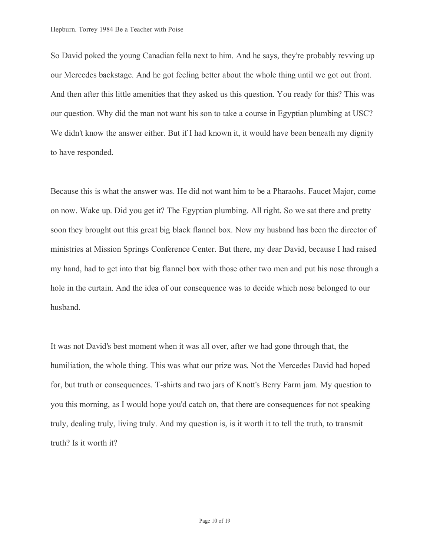So David poked the young Canadian fella next to him. And he says, they're probably revving up our Mercedes backstage. And he got feeling better about the whole thing until we got out front. And then after this little amenities that they asked us this question. You ready for this? This was our question. Why did the man not want his son to take a course in Egyptian plumbing at USC? We didn't know the answer either. But if I had known it, it would have been beneath my dignity to have responded.

Because this is what the answer was. He did not want him to be a Pharaohs. Faucet Major, come on now. Wake up. Did you get it? The Egyptian plumbing. All right. So we sat there and pretty soon they brought out this great big black flannel box. Now my husband has been the director of ministries at Mission Springs Conference Center. But there, my dear David, because I had raised my hand, had to get into that big flannel box with those other two men and put his nose through a hole in the curtain. And the idea of our consequence was to decide which nose belonged to our husband.

It was not David's best moment when it was all over, after we had gone through that, the humiliation, the whole thing. This was what our prize was. Not the Mercedes David had hoped for, but truth or consequences. T-shirts and two jars of Knott's Berry Farm jam. My question to you this morning, as I would hope you'd catch on, that there are consequences for not speaking truly, dealing truly, living truly. And my question is, is it worth it to tell the truth, to transmit truth? Is it worth it?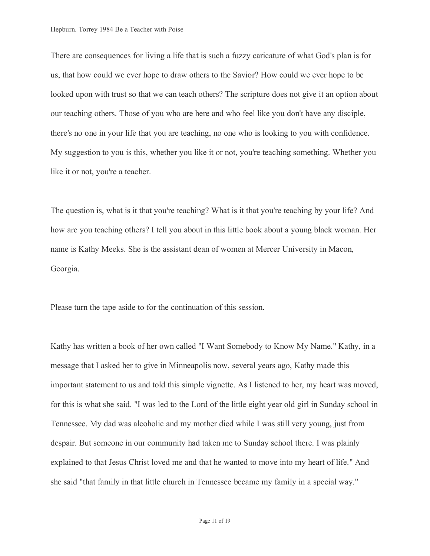There are consequences for living a life that is such a fuzzy caricature of what God's plan is for us, that how could we ever hope to draw others to the Savior? How could we ever hope to be looked upon with trust so that we can teach others? The scripture does not give it an option about our teaching others. Those of you who are here and who feel like you don't have any disciple, there's no one in your life that you are teaching, no one who is looking to you with confidence. My suggestion to you is this, whether you like it or not, you're teaching something. Whether you like it or not, you're a teacher.

The question is, what is it that you're teaching? What is it that you're teaching by your life? And how are you teaching others? I tell you about in this little book about a young black woman. Her name is Kathy Meeks. She is the assistant dean of women at Mercer University in Macon, Georgia.

Please turn the tape aside to for the continuation of this session.

Kathy has written a book of her own called "I Want Somebody to Know My Name." Kathy, in a message that I asked her to give in Minneapolis now, several years ago, Kathy made this important statement to us and told this simple vignette. As I listened to her, my heart was moved, for this is what she said. "I was led to the Lord of the little eight year old girl in Sunday school in Tennessee. My dad was alcoholic and my mother died while I was still very young, just from despair. But someone in our community had taken me to Sunday school there. I was plainly explained to that Jesus Christ loved me and that he wanted to move into my heart of life." And she said "that family in that little church in Tennessee became my family in a special way."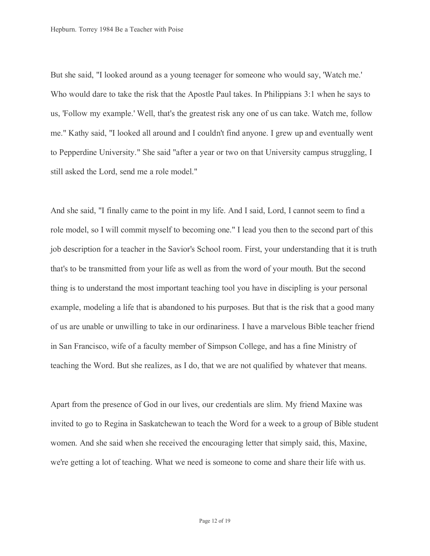But she said, "I looked around as a young teenager for someone who would say, 'Watch me.' Who would dare to take the risk that the Apostle Paul takes. In Philippians 3:1 when he says to us, 'Follow my example.' Well, that's the greatest risk any one of us can take. Watch me, follow me." Kathy said, "I looked all around and I couldn't find anyone. I grew up and eventually went to Pepperdine University." She said "after a year or two on that University campus struggling, I still asked the Lord, send me a role model."

And she said, "I finally came to the point in my life. And I said, Lord, I cannot seem to find a role model, so I will commit myself to becoming one." I lead you then to the second part of this job description for a teacher in the Savior's School room. First, your understanding that it is truth that's to be transmitted from your life as well as from the word of your mouth. But the second thing is to understand the most important teaching tool you have in discipling is your personal example, modeling a life that is abandoned to his purposes. But that is the risk that a good many of us are unable or unwilling to take in our ordinariness. I have a marvelous Bible teacher friend in San Francisco, wife of a faculty member of Simpson College, and has a fine Ministry of teaching the Word. But she realizes, as I do, that we are not qualified by whatever that means.

Apart from the presence of God in our lives, our credentials are slim. My friend Maxine was invited to go to Regina in Saskatchewan to teach the Word for a week to a group of Bible student women. And she said when she received the encouraging letter that simply said, this, Maxine, we're getting a lot of teaching. What we need is someone to come and share their life with us.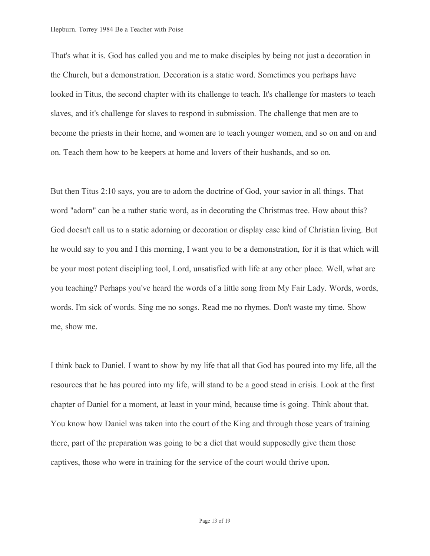That's what it is. God has called you and me to make disciples by being not just a decoration in the Church, but a demonstration. Decoration is a static word. Sometimes you perhaps have looked in Titus, the second chapter with its challenge to teach. It's challenge for masters to teach slaves, and it's challenge for slaves to respond in submission. The challenge that men are to become the priests in their home, and women are to teach younger women, and so on and on and on. Teach them how to be keepers at home and lovers of their husbands, and so on.

But then Titus 2:10 says, you are to adorn the doctrine of God, your savior in all things. That word "adorn" can be a rather static word, as in decorating the Christmas tree. How about this? God doesn't call us to a static adorning or decoration or display case kind of Christian living. But he would say to you and I this morning, I want you to be a demonstration, for it is that which will be your most potent discipling tool, Lord, unsatisfied with life at any other place. Well, what are you teaching? Perhaps you've heard the words of a little song from My Fair Lady. Words, words, words. I'm sick of words. Sing me no songs. Read me no rhymes. Don't waste my time. Show me, show me.

I think back to Daniel. I want to show by my life that all that God has poured into my life, all the resources that he has poured into my life, will stand to be a good stead in crisis. Look at the first chapter of Daniel for a moment, at least in your mind, because time is going. Think about that. You know how Daniel was taken into the court of the King and through those years of training there, part of the preparation was going to be a diet that would supposedly give them those captives, those who were in training for the service of the court would thrive upon.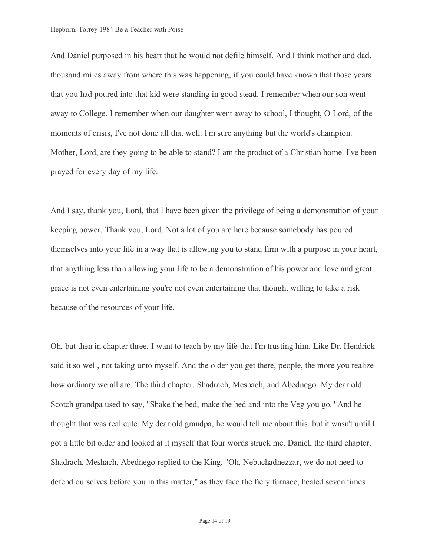And Daniel purposed in his heart that he would not defile himself. And I think mother and dad, thousand miles away from where this was happening, if you could have known that those years that you had poured into that kid were standing in good stead. I remember when our son went away to College. I remember when our daughter went away to school, I thought, O Lord, of the moments of crisis, I've not done all that well. I'm sure anything but the world's champion. Mother, Lord, are they going to be able to stand? I am the product of a Christian home. I've been prayed for every day of my life.

And I say, thank you, Lord, that I have been given the privilege of being a demonstration of your keeping power. Thank you, Lord. Not a lot of you are here because somebody has poured themselves into your life in a way that is allowing you to stand firm with a purpose in your heart, that anything less than allowing your life to be a demonstration of his power and love and great grace is not even entertaining you're not even entertaining that thought willing to take a risk because of the resources of your life.

Oh, but then in chapter three, I want to teach by my life that I'm trusting him. Like Dr. Hendrick said it so well, not taking unto myself. And the older you get there, people, the more you realize how ordinary we all are. The third chapter, Shadrach, Meshach, and Abednego. My dear old Scotch grandpa used to say, "Shake the bed, make the bed and into the Veg you go." And he thought that was real cute. My dear old grandpa, he would tell me about this, but it wasn't until I got a little bit older and looked at it myself that four words struck me. Daniel, the third chapter. Shadrach, Meshach, Abednego replied to the King, "Oh, Nebuchadnezzar, we do not need to defend ourselves before you in this matter," as they face the fiery furnace, heated seven times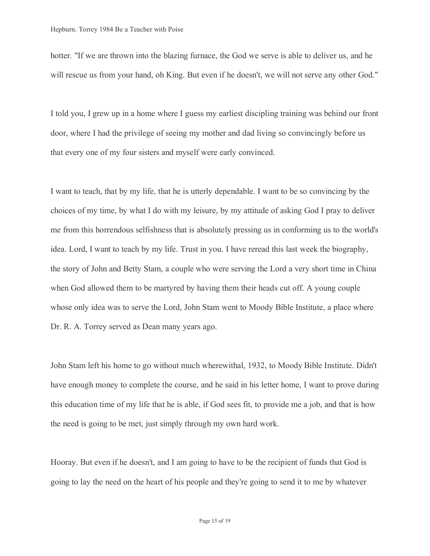hotter. "If we are thrown into the blazing furnace, the God we serve is able to deliver us, and he will rescue us from your hand, oh King. But even if he doesn't, we will not serve any other God."

I told you, I grew up in a home where I guess my earliest discipling training was behind our front door, where I had the privilege of seeing my mother and dad living so convincingly before us that every one of my four sisters and myself were early convinced.

I want to teach, that by my life, that he is utterly dependable. I want to be so convincing by the choices of my time, by what I do with my leisure, by my attitude of asking God I pray to deliver me from this horrendous selfishness that is absolutely pressing us in conforming us to the world's idea. Lord, I want to teach by my life. Trust in you. I have reread this last week the biography, the story of John and Betty Stam, a couple who were serving the Lord a very short time in China when God allowed them to be martyred by having them their heads cut off. A young couple whose only idea was to serve the Lord, John Stam went to Moody Bible Institute, a place where Dr. R. A. Torrey served as Dean many years ago.

John Stam left his home to go without much wherewithal, 1932, to Moody Bible Institute. Didn't have enough money to complete the course, and he said in his letter home, I want to prove during this education time of my life that he is able, if God sees fit, to provide me a job, and that is how the need is going to be met, just simply through my own hard work.

Hooray. But even if he doesn't, and I am going to have to be the recipient of funds that God is going to lay the need on the heart of his people and they're going to send it to me by whatever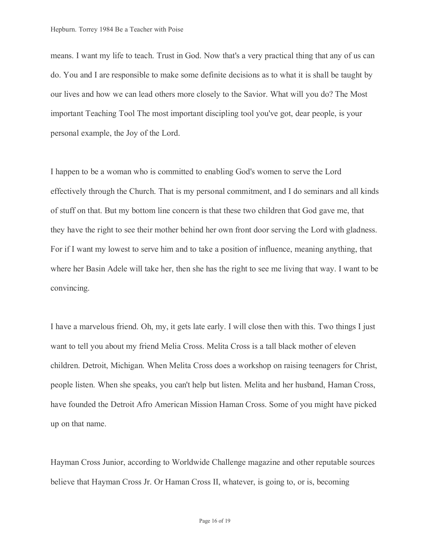means. I want my life to teach. Trust in God. Now that's a very practical thing that any of us can do. You and I are responsible to make some definite decisions as to what it is shall be taught by our lives and how we can lead others more closely to the Savior. What will you do? The Most important Teaching Tool The most important discipling tool you've got, dear people, is your personal example, the Joy of the Lord.

I happen to be a woman who is committed to enabling God's women to serve the Lord effectively through the Church. That is my personal commitment, and I do seminars and all kinds of stuff on that. But my bottom line concern is that these two children that God gave me, that they have the right to see their mother behind her own front door serving the Lord with gladness. For if I want my lowest to serve him and to take a position of influence, meaning anything, that where her Basin Adele will take her, then she has the right to see me living that way. I want to be convincing.

I have a marvelous friend. Oh, my, it gets late early. I will close then with this. Two things I just want to tell you about my friend Melia Cross. Melita Cross is a tall black mother of eleven children. Detroit, Michigan. When Melita Cross does a workshop on raising teenagers for Christ, people listen. When she speaks, you can't help but listen. Melita and her husband, Haman Cross, have founded the Detroit Afro American Mission Haman Cross. Some of you might have picked up on that name.

Hayman Cross Junior, according to Worldwide Challenge magazine and other reputable sources believe that Hayman Cross Jr. Or Haman Cross II, whatever, is going to, or is, becoming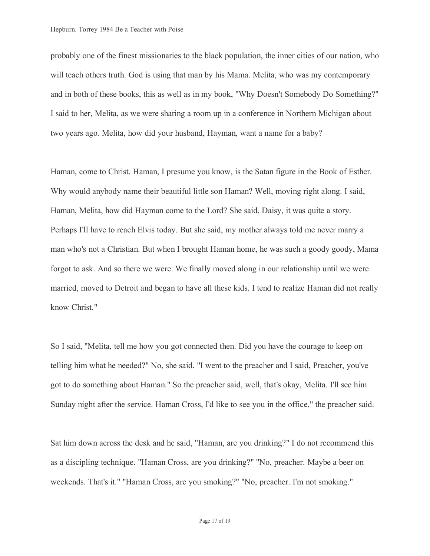probably one of the finest missionaries to the black population, the inner cities of our nation, who will teach others truth. God is using that man by his Mama. Melita, who was my contemporary and in both of these books, this as well as in my book, "Why Doesn't Somebody Do Something?" I said to her, Melita, as we were sharing a room up in a conference in Northern Michigan about two years ago. Melita, how did your husband, Hayman, want a name for a baby?

Haman, come to Christ. Haman, I presume you know, is the Satan figure in the Book of Esther. Why would anybody name their beautiful little son Haman? Well, moving right along. I said, Haman, Melita, how did Hayman come to the Lord? She said, Daisy, it was quite a story. Perhaps I'll have to reach Elvis today. But she said, my mother always told me never marry a man who's not a Christian. But when I brought Haman home, he was such a goody goody, Mama forgot to ask. And so there we were. We finally moved along in our relationship until we were married, moved to Detroit and began to have all these kids. I tend to realize Haman did not really know Christ."

So I said, "Melita, tell me how you got connected then. Did you have the courage to keep on telling him what he needed?" No, she said. "I went to the preacher and I said, Preacher, you've got to do something about Haman." So the preacher said, well, that's okay, Melita. I'll see him Sunday night after the service. Haman Cross, I'd like to see you in the office," the preacher said.

Sat him down across the desk and he said, "Haman, are you drinking?" I do not recommend this as a discipling technique. "Haman Cross, are you drinking?" "No, preacher. Maybe a beer on weekends. That's it." "Haman Cross, are you smoking?" "No, preacher. I'm not smoking."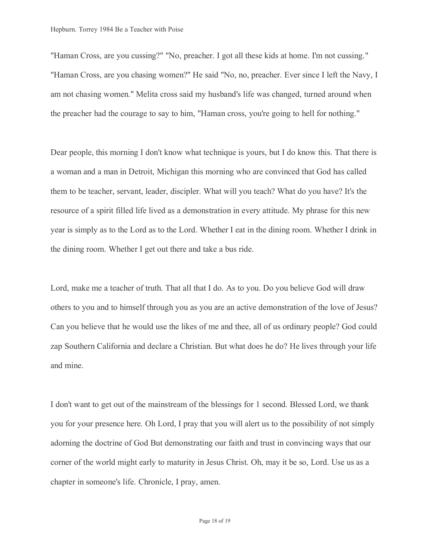"Haman Cross, are you cussing?" "No, preacher. I got all these kids at home. I'm not cussing." "Haman Cross, are you chasing women?" He said "No, no, preacher. Ever since I left the Navy, I am not chasing women." Melita cross said my husband's life was changed, turned around when the preacher had the courage to say to him, "Haman cross, you're going to hell for nothing."

Dear people, this morning I don't know what technique is yours, but I do know this. That there is a woman and a man in Detroit, Michigan this morning who are convinced that God has called them to be teacher, servant, leader, discipler. What will you teach? What do you have? It's the resource of a spirit filled life lived as a demonstration in every attitude. My phrase for this new year is simply as to the Lord as to the Lord. Whether I eat in the dining room. Whether I drink in the dining room. Whether I get out there and take a bus ride.

Lord, make me a teacher of truth. That all that I do. As to you. Do you believe God will draw others to you and to himself through you as you are an active demonstration of the love of Jesus? Can you believe that he would use the likes of me and thee, all of us ordinary people? God could zap Southern California and declare a Christian. But what does he do? He lives through your life and mine.

I don't want to get out of the mainstream of the blessings for 1 second. Blessed Lord, we thank you for your presence here. Oh Lord, I pray that you will alert us to the possibility of not simply adorning the doctrine of God But demonstrating our faith and trust in convincing ways that our corner of the world might early to maturity in Jesus Christ. Oh, may it be so, Lord. Use us as a chapter in someone's life. Chronicle, I pray, amen.